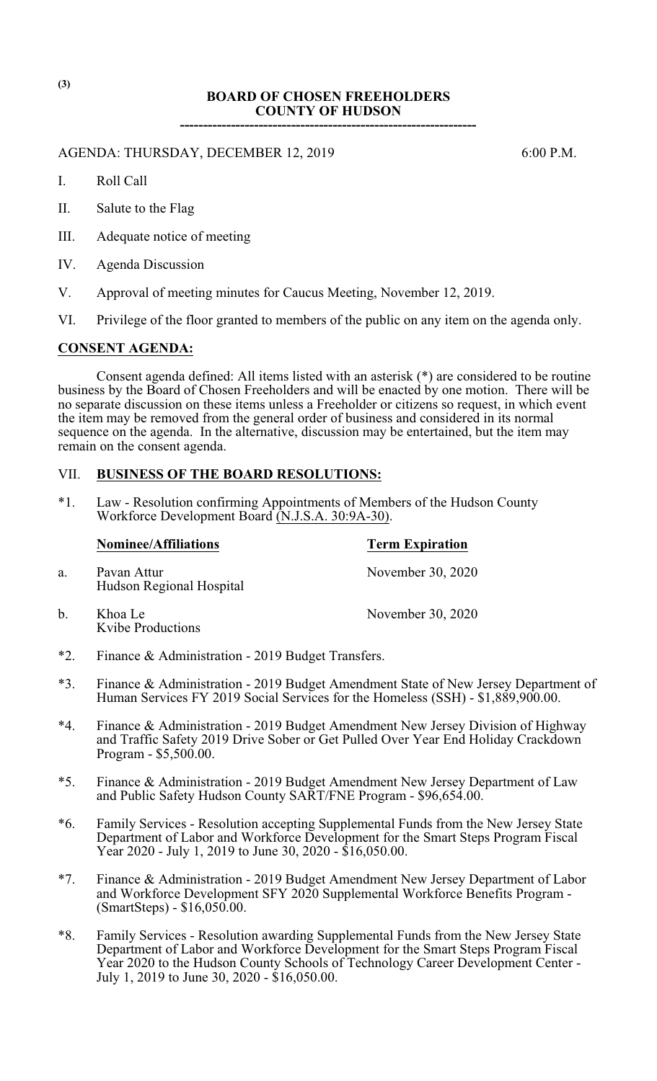## **BOARD OF CHOSEN FREEHOLDERS COUNTY OF HUDSON ----------------------------------------------------------------**

AGENDA: THURSDAY, DECEMBER 12, 2019 6:00 P.M.

I. Roll Call

- II. Salute to the Flag
- III. Adequate notice of meeting
- IV. Agenda Discussion
- V. Approval of meeting minutes for Caucus Meeting, November 12, 2019.
- VI. Privilege of the floor granted to members of the public on any item on the agenda only.

### **CONSENT AGENDA:**

Kvibe Productions

Consent agenda defined: All items listed with an asterisk (\*) are considered to be routine business by the Board of Chosen Freeholders and will be enacted by one motion. There will be no separate discussion on these items unless a Freeholder or citizens so request, in which event the item may be removed from the general order of business and considered in its normal sequence on the agenda. In the alternative, discussion may be entertained, but the item may remain on the consent agenda.

# VII. **BUSINESS OF THE BOARD RESOLUTIONS:**

\*1. Law - Resolution confirming Appointments of Members of the Hudson County Workforce Development Board (N.J.S.A. 30:9A-30).

|    | <b>Nominee/Affiliations</b>             | <b>Term Expiration</b> |  |
|----|-----------------------------------------|------------------------|--|
| a. | Pavan Attur<br>Hudson Regional Hospital | November 30, 2020      |  |
| b. | Khoa Le                                 | November 30, 2020      |  |

- \*2. Finance & Administration 2019 Budget Transfers.
- \*3. Finance & Administration 2019 Budget Amendment State of New Jersey Department of Human Services FY 2019 Social Services for the Homeless (SSH) - \$1,889,900.00.
- \*4. Finance & Administration 2019 Budget Amendment New Jersey Division of Highway and Traffic Safety 2019 Drive Sober or Get Pulled Over Year End Holiday Crackdown Program - \$5,500.00.
- \*5. Finance & Administration 2019 Budget Amendment New Jersey Department of Law and Public Safety Hudson County SART/FNE Program - \$96,654.00.
- \*6. Family Services Resolution accepting Supplemental Funds from the New Jersey State Department of Labor and Workforce Development for the Smart Steps Program Fiscal Year 2020 - July 1, 2019 to June 30, 2020 - \$16,050.00.
- \*7. Finance & Administration 2019 Budget Amendment New Jersey Department of Labor and Workforce Development SFY 2020 Supplemental Workforce Benefits Program - (SmartSteps) - \$16,050.00.
- \*8. Family Services Resolution awarding Supplemental Funds from the New Jersey State Department of Labor and Workforce Development for the Smart Steps Program Fiscal Year 2020 to the Hudson County Schools of Technology Career Development Center - July 1, 2019 to June 30, 2020 - \$16,050.00.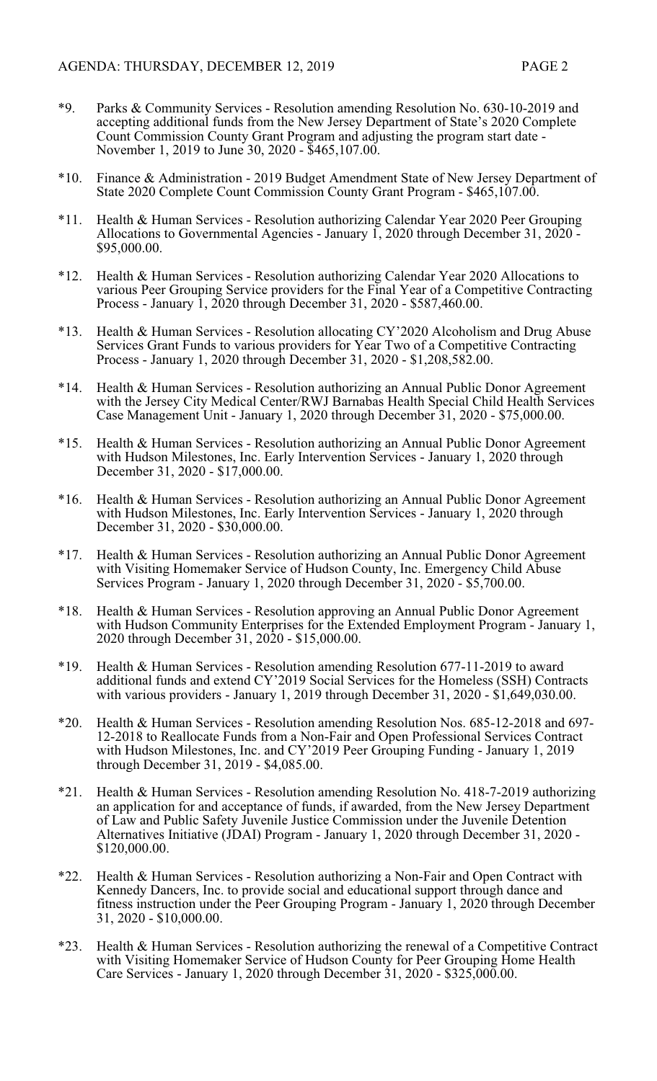- \*9. Parks & Community Services Resolution amending Resolution No. 630-10-2019 and accepting additional funds from the New Jersey Department of State's 2020 Complete Count Commission County Grant Program and adjusting the program start date - November 1, 2019 to June 30, 2020 - \$465,107.00.
- \*10. Finance & Administration 2019 Budget Amendment State of New Jersey Department of State 2020 Complete Count Commission County Grant Program - \$465,107.00.
- \*11. Health & Human Services Resolution authorizing Calendar Year 2020 Peer Grouping Allocations to Governmental Agencies - January 1, 2020 through December 31, 2020 - \$95,000.00.
- \*12. Health & Human Services Resolution authorizing Calendar Year 2020 Allocations to various Peer Grouping Service providers for the Final Year of a Competitive Contracting Process - January 1, 2020 through December 31, 2020 - \$587,460.00.
- \*13. Health & Human Services Resolution allocating CY'2020 Alcoholism and Drug Abuse Services Grant Funds to various providers for Year Two of a Competitive Contracting Process - January 1, 2020 through December 31, 2020 - \$1,208,582.00.
- \*14. Health & Human Services Resolution authorizing an Annual Public Donor Agreement with the Jersey City Medical Center/RWJ Barnabas Health Special Child Health Services Case Management Unit - January 1, 2020 through December 31, 2020 - \$75,000.00.
- \*15. Health & Human Services Resolution authorizing an Annual Public Donor Agreement with Hudson Milestones, Inc. Early Intervention Services - January 1, 2020 through December 31, 2020 - \$17,000.00.
- \*16. Health & Human Services Resolution authorizing an Annual Public Donor Agreement with Hudson Milestones, Inc. Early Intervention Services - January 1, 2020 through December 31, 2020 - \$30,000.00.
- \*17. Health & Human Services Resolution authorizing an Annual Public Donor Agreement with Visiting Homemaker Service of Hudson County, Inc. Emergency Child Abuse Services Program - January 1, 2020 through December 31, 2020 - \$5,700.00.
- \*18. Health & Human Services Resolution approving an Annual Public Donor Agreement with Hudson Community Enterprises for the Extended Employment Program - January 1, 2020 through December 31, 2020 - \$15,000.00.
- \*19. Health & Human Services Resolution amending Resolution 677-11-2019 to award additional funds and extend CY'2019 Social Services for the Homeless (SSH) Contracts with various providers - January 1, 2019 through December 31, 2020 - \$1,649,030.00.
- \*20. Health & Human Services Resolution amending Resolution Nos. 685-12-2018 and 697- 12-2018 to Reallocate Funds from a Non-Fair and Open Professional Services Contract with Hudson Milestones, Inc. and CY'2019 Peer Grouping Funding - January 1, 2019 through December 31, 2019 - \$4,085.00.
- \*21. Health & Human Services Resolution amending Resolution No. 418-7-2019 authorizing an application for and acceptance of funds, if awarded, from the New Jersey Department of Law and Public Safety Juvenile Justice Commission under the Juvenile Detention Alternatives Initiative (JDAI) Program - January 1, 2020 through December 31, 2020 - \$120,000.00.
- \*22. Health & Human Services Resolution authorizing a Non-Fair and Open Contract with Kennedy Dancers, Inc. to provide social and educational support through dance and fitness instruction under the Peer Grouping Program - January 1, 2020 through December 31, 2020 - \$10,000.00.
- \*23. Health & Human Services Resolution authorizing the renewal of a Competitive Contract with Visiting Homemaker Service of Hudson County for Peer Grouping Home Health Care Services - January 1, 2020 through December 31, 2020 - \$325,000.00.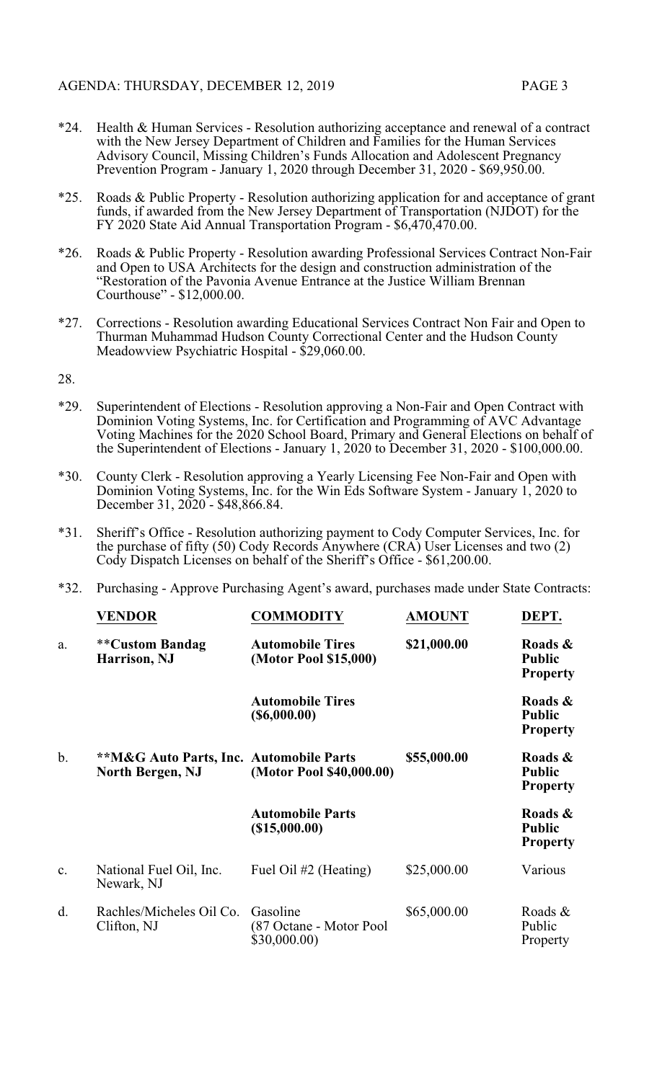- \*24. Health & Human Services Resolution authorizing acceptance and renewal of a contract with the New Jersey Department of Children and Families for the Human Services Advisory Council, Missing Children's Funds Allocation and Adolescent Pregnancy Prevention Program - January 1, 2020 through December 31, 2020 - \$69,950.00.
- \*25. Roads & Public Property Resolution authorizing application for and acceptance of grant funds, if awarded from the New Jersey Department of Transportation (NJDOT) for the FY 2020 State Aid Annual Transportation Program - \$6,470,470.00.
- \*26. Roads & Public Property Resolution awarding Professional Services Contract Non-Fair and Open to USA Architects for the design and construction administration of the "Restoration of the Pavonia Avenue Entrance at the Justice William Brennan Courthouse" - \$12,000.00.
- \*27. Corrections Resolution awarding Educational Services Contract Non Fair and Open to Thurman Muhammad Hudson County Correctional Center and the Hudson County Meadowview Psychiatric Hospital - \$29,060.00.

28.

- \*29. Superintendent of Elections Resolution approving a Non-Fair and Open Contract with Dominion Voting Systems, Inc. for Certification and Programming of AVC Advantage Voting Machines for the 2020 School Board, Primary and General Elections on behalf of the Superintendent of Elections - January 1, 2020 to December 31, 2020 - \$100,000.00.
- \*30. County Clerk Resolution approving a Yearly Licensing Fee Non-Fair and Open with Dominion Voting Systems, Inc. for the Win Eds Software System - January 1, 2020 to December 31, 2020 - \$48,866.84.
- \*31. Sheriff's Office Resolution authorizing payment to Cody Computer Services, Inc. for the purchase of fifty (50) Cody Records Anywhere (CRA) User Licenses and two (2) Cody Dispatch Licenses on behalf of the Sheriff's Office - \$61,200.00.
- \*32. Purchasing Approve Purchasing Agent's award, purchases made under State Contracts:

|                | <b>VENDOR</b>                                                                 | <b>COMMODITY</b>                                    | <b>AMOUNT</b> | DEPT.                                       |
|----------------|-------------------------------------------------------------------------------|-----------------------------------------------------|---------------|---------------------------------------------|
| a.             | **Custom Bandag<br>Harrison, NJ                                               | <b>Automobile Tires</b><br>(Motor Pool \$15,000)    | \$21,000.00   | Roads &<br><b>Public</b><br><b>Property</b> |
|                |                                                                               | <b>Automobile Tires</b><br>$($ \$6,000.00)          |               | Roads &<br><b>Public</b><br><b>Property</b> |
| $\mathbf b$ .  | <b>**M&amp;G Auto Parts, Inc. Automobile Parts</b><br><b>North Bergen, NJ</b> | (Motor Pool \$40,000.00)                            | \$55,000.00   | Roads &<br><b>Public</b><br><b>Property</b> |
|                |                                                                               | <b>Automobile Parts</b><br>(\$15,000.00)            |               | Roads &<br><b>Public</b><br><b>Property</b> |
| $\mathbf{c}$ . | National Fuel Oil, Inc.<br>Newark, NJ                                         | Fuel Oil #2 (Heating)                               | \$25,000.00   | Various                                     |
| d.             | Rachles/Micheles Oil Co.<br>Clifton, NJ                                       | Gasoline<br>(87 Octane - Motor Pool<br>\$30,000.00) | \$65,000.00   | Roads &<br>Public<br>Property               |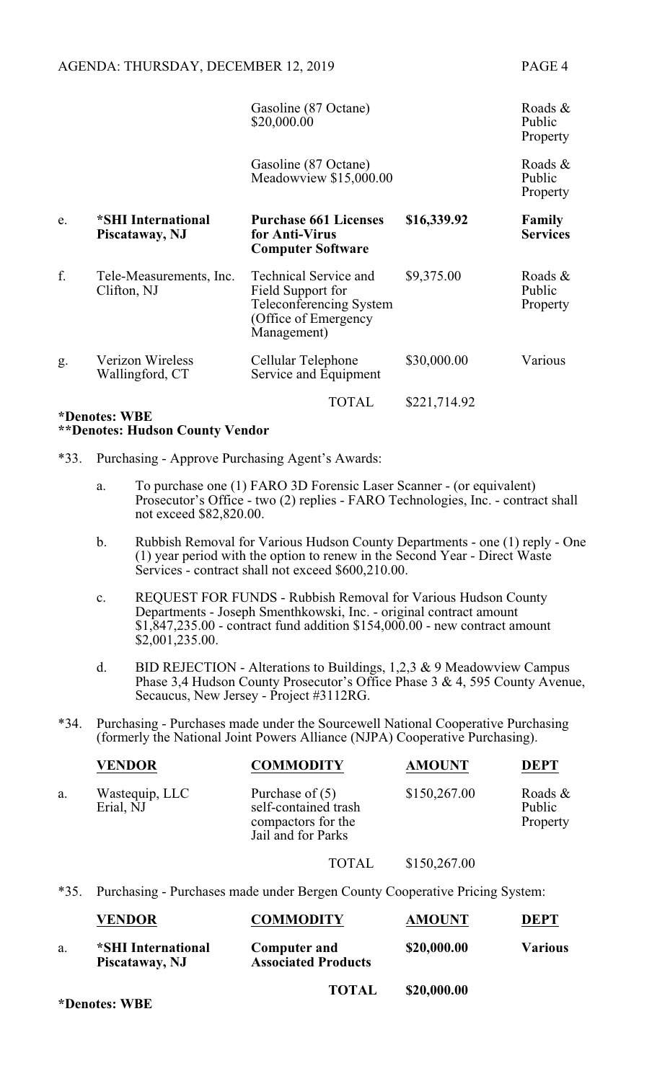|    |                                            | Gasoline (87 Octane)<br>\$20,000.00                                                                                 |              | Roads $\&$<br>Public<br>Property |
|----|--------------------------------------------|---------------------------------------------------------------------------------------------------------------------|--------------|----------------------------------|
|    |                                            | Gasoline (87 Octane)<br>Meadowview \$15,000.00                                                                      |              | Roads &<br>Public<br>Property    |
| e. | *SHI International<br>Piscataway, NJ       | <b>Purchase 661 Licenses</b><br>for Anti-Virus<br><b>Computer Software</b>                                          | \$16,339.92  | Family<br><b>Services</b>        |
| f. | Tele-Measurements, Inc.<br>Clifton, NJ     | <b>Technical Service and</b><br>Field Support for<br>Teleconferencing System<br>(Office of Emergency<br>Management) | \$9,375.00   | Roads &<br>Public<br>Property    |
| g. | <b>Verizon Wireless</b><br>Wallingford, CT | Cellular Telephone<br>Service and Equipment                                                                         | \$30,000.00  | Various                          |
|    |                                            | TOTAL                                                                                                               | \$221,714.92 |                                  |

## **\*Denotes: WBE \*\*Denotes: Hudson County Vendor**

- \*33. Purchasing Approve Purchasing Agent's Awards:
	- a. To purchase one (1) FARO 3D Forensic Laser Scanner (or equivalent) Prosecutor's Office - two (2) replies - FARO Technologies, Inc. - contract shall not exceed \$82,820.00.
	- b. Rubbish Removal for Various Hudson County Departments one (1) reply One (1) year period with the option to renew in the Second Year - Direct Waste Services - contract shall not exceed \$600,210.00.
	- c. REQUEST FOR FUNDS Rubbish Removal for Various Hudson County Departments - Joseph Smenthkowski, Inc. - original contract amount \$1,847,235.00 - contract fund addition \$154,000.00 - new contract amount \$2,001,235.00.
	- d. BID REJECTION Alterations to Buildings,  $1,2,3 \& 9$  Meadowview Campus Phase 3,4 Hudson County Prosecutor's Office Phase 3 & 4, 595 County Avenue, Secaucus, New Jersey - Project #3112RG.
- \*34. Purchasing Purchases made under the Sourcewell National Cooperative Purchasing (formerly the National Joint Powers Alliance (NJPA) Cooperative Purchasing).

|    | <b>VENDOR</b>               | <b>COMMODITY</b>                                                                      | <b>AMOUNT</b> | <b>DEPT</b>                      |
|----|-----------------------------|---------------------------------------------------------------------------------------|---------------|----------------------------------|
| a. | Wastequip, LLC<br>Erial, NJ | Purchase of $(5)$<br>self-contained trash<br>compactors for the<br>Jail and for Parks | \$150,267.00  | Roads $\&$<br>Public<br>Property |
|    |                             |                                                                                       |               |                                  |

#### TOTAL \$150,267.00

\*35. Purchasing - Purchases made under Bergen County Cooperative Pricing System:

|    | <b>VENDOR</b>                        | <b>COMMODITY</b>                                  | <b>AMOUNT</b> | <b>DEPT</b>    |
|----|--------------------------------------|---------------------------------------------------|---------------|----------------|
| a. | *SHI International<br>Piscataway, NJ | <b>Computer and</b><br><b>Associated Products</b> | \$20,000.00   | <b>Various</b> |
|    |                                      | <b>TOTAL</b>                                      | \$20,000.00   |                |

**\*Denotes: WBE**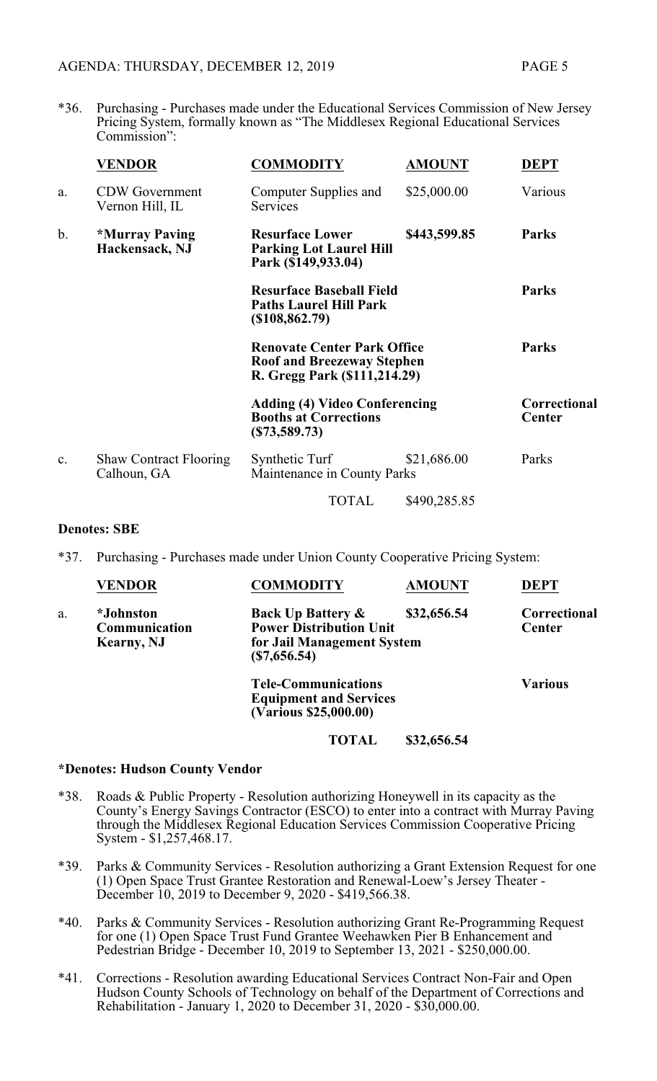\*36. Purchasing - Purchases made under the Educational Services Commission of New Jersey Pricing System, formally known as "The Middlesex Regional Educational Services Commission":

|                | <b>VENDOR</b>                                  | <b>COMMODITY</b>                                                                                        | <b>AMOUNT</b> | <b>DEPT</b>                   |
|----------------|------------------------------------------------|---------------------------------------------------------------------------------------------------------|---------------|-------------------------------|
| a.             | <b>CDW</b> Government<br>Vernon Hill, IL       | Computer Supplies and<br>Services                                                                       | \$25,000.00   | Various                       |
| $\mathbf b$ .  | <i><b>*Murray Paving</b></i><br>Hackensack, NJ | <b>Resurface Lower</b><br><b>Parking Lot Laurel Hill</b><br>Park (\$149,933.04)                         | \$443,599.85  | <b>Parks</b>                  |
|                |                                                | <b>Resurface Baseball Field</b><br><b>Paths Laurel Hill Park</b><br>(\$108,862.79)                      |               | <b>Parks</b>                  |
|                |                                                | <b>Renovate Center Park Office</b><br><b>Roof and Breezeway Stephen</b><br>R. Gregg Park (\$111,214.29) |               | <b>Parks</b>                  |
|                |                                                | <b>Adding (4) Video Conferencing</b><br><b>Booths at Corrections</b><br>$(\$73,589.73)$                 |               | Correctional<br><b>Center</b> |
| $\mathbf{c}$ . | <b>Shaw Contract Flooring</b><br>Calhoun, GA   | Synthetic Turf<br>Maintenance in County Parks                                                           | \$21,686.00   | Parks                         |
|                |                                                | <b>TOTAL</b>                                                                                            | \$490,285.85  |                               |

## **Denotes: SBE**

\*37. Purchasing - Purchases made under Union County Cooperative Pricing System:

|    | <b>VENDOR</b>                                           | <b>COMMODITY</b>                                                                                            | <b>AMOUNT</b> | <b>DEPT</b>                   |
|----|---------------------------------------------------------|-------------------------------------------------------------------------------------------------------------|---------------|-------------------------------|
| a. | <i>*Johnston</i><br>Communication<br><b>Kearny</b> , NJ | <b>Back Up Battery &amp;</b><br><b>Power Distribution Unit</b><br>for Jail Management System<br>(S7,656.54) | \$32,656.54   | Correctional<br><b>Center</b> |
|    |                                                         | <b>Tele-Communications</b><br><b>Equipment and Services</b><br>(Various \$25,000.00)                        |               | <b>Various</b>                |

**TOTAL \$32,656.54**

#### **\*Denotes: Hudson County Vendor**

- \*38. Roads & Public Property Resolution authorizing Honeywell in its capacity as the County's Energy Savings Contractor (ESCO) to enter into a contract with Murray Paving through the Middlesex Regional Education Services Commission Cooperative Pricing System - \$1,257,468.17.
- \*39. Parks & Community Services Resolution authorizing a Grant Extension Request for one (1) Open Space Trust Grantee Restoration and Renewal-Loew's Jersey Theater - December 10, 2019 to December 9, 2020 - \$419,566.38.
- \*40. Parks & Community Services Resolution authorizing Grant Re-Programming Request for one (1) Open Space Trust Fund Grantee Weehawken Pier B Enhancement and Pedestrian Bridge - December 10, 2019 to September 13, 2021 - \$250,000.00.
- \*41. Corrections Resolution awarding Educational Services Contract Non-Fair and Open Hudson County Schools of Technology on behalf of the Department of Corrections and Rehabilitation - January 1, 2020 to December 31, 2020 - \$30,000.00.